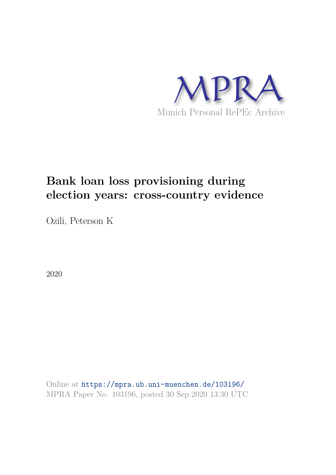

# **Bank loan loss provisioning during election years: cross-country evidence**

Ozili, Peterson K

2020

Online at https://mpra.ub.uni-muenchen.de/103196/ MPRA Paper No. 103196, posted 30 Sep 2020 13:30 UTC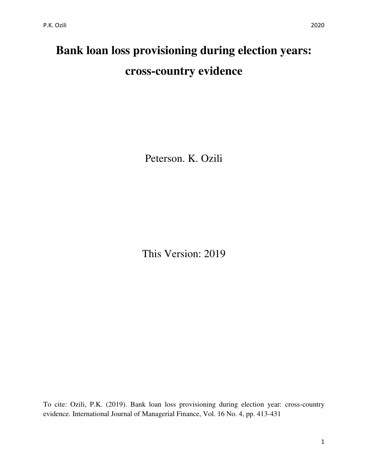Peterson. K. Ozili

This Version: 2019

To cite: Ozili, P.K. (2019). Bank loan loss provisioning during election year: cross-country evidence. International Journal of Managerial Finance, Vol. 16 No. 4, pp. 413-431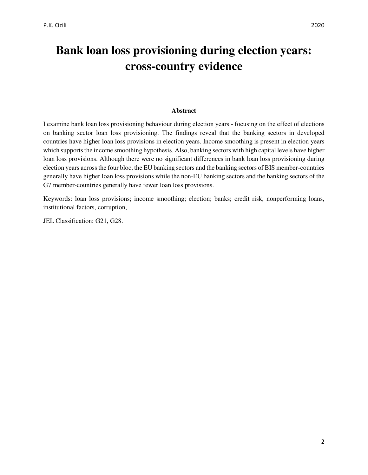# **Bank loan loss provisioning during election years: cross-country evidence**

#### **Abstract**

I examine bank loan loss provisioning behaviour during election years - focusing on the effect of elections on banking sector loan loss provisioning. The findings reveal that the banking sectors in developed countries have higher loan loss provisions in election years. Income smoothing is present in election years which supports the income smoothing hypothesis. Also, banking sectors with high capital levels have higher loan loss provisions. Although there were no significant differences in bank loan loss provisioning during election years across the four bloc, the EU banking sectors and the banking sectors of BIS member-countries generally have higher loan loss provisions while the non-EU banking sectors and the banking sectors of the G7 member-countries generally have fewer loan loss provisions.

Keywords: loan loss provisions; income smoothing; election; banks; credit risk, nonperforming loans, institutional factors, corruption,

JEL Classification: G21, G28.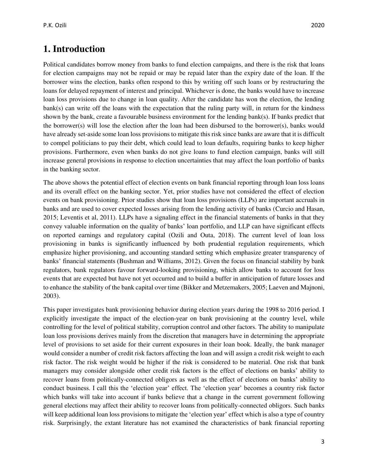# **1. Introduction**

Political candidates borrow money from banks to fund election campaigns, and there is the risk that loans for election campaigns may not be repaid or may be repaid later than the expiry date of the loan. If the borrower wins the election, banks often respond to this by writing off such loans or by restructuring the loans for delayed repayment of interest and principal. Whichever is done, the banks would have to increase loan loss provisions due to change in loan quality. After the candidate has won the election, the lending bank(s) can write off the loans with the expectation that the ruling party will, in return for the kindness shown by the bank, create a favourable business environment for the lending bank(s). If banks predict that the borrower(s) will lose the election after the loan had been disbursed to the borrower(s), banks would have already set-aside some loan loss provisions to mitigate this risk since banks are aware that it is difficult to compel politicians to pay their debt, which could lead to loan defaults, requiring banks to keep higher provisions. Furthermore, even when banks do not give loans to fund election campaign, banks will still increase general provisions in response to election uncertainties that may affect the loan portfolio of banks in the banking sector.

The above shows the potential effect of election events on bank financial reporting through loan loss loans and its overall effect on the banking sector. Yet, prior studies have not considered the effect of election events on bank provisioning. Prior studies show that loan loss provisions (LLPs) are important accruals in banks and are used to cover expected losses arising from the lending activity of banks (Curcio and Hasan, 2015; Leventis et al, 2011). LLPs have a signaling effect in the financial statements of banks in that they convey valuable information on the quality of banks' loan portfolio, and LLP can have significant effects on reported earnings and regulatory capital (Ozili and Outa, 2018). The current level of loan loss provisioning in banks is significantly influenced by both prudential regulation requirements, which emphasize higher provisioning, and accounting standard setting which emphasize greater transparency of banks' financial statements (Bushman and Williams, 2012). Given the focus on financial stability by bank regulators, bank regulators favour forward-looking provisioning, which allow banks to account for loss events that are expected but have not yet occurred and to build a buffer in anticipation of future losses and to enhance the stability of the bank capital over time (Bikker and Metzemakers, 2005; Laeven and Majnoni, 2003).

This paper investigates bank provisioning behavior during election years during the 1998 to 2016 period. I explicitly investigate the impact of the election-year on bank provisioning at the country level, while controlling for the level of political stability, corruption control and other factors. The ability to manipulate loan loss provisions derives mainly from the discretion that managers have in determining the appropriate level of provisions to set aside for their current exposures in their loan book. Ideally, the bank manager would consider a number of credit risk factors affecting the loan and will assign a credit risk weight to each risk factor. The risk weight would be higher if the risk is considered to be material. One risk that bank managers may consider alongside other credit risk factors is the effect of elections on banks' ability to recover loans from politically-connected obligors as well as the effect of elections on banks' ability to conduct business. I call this the 'election year' effect. The 'election year' becomes a country risk factor which banks will take into account if banks believe that a change in the current government following general elections may affect their ability to recover loans from politically-connected obligors. Such banks will keep additional loan loss provisions to mitigate the 'election year' effect which is also a type of country risk. Surprisingly, the extant literature has not examined the characteristics of bank financial reporting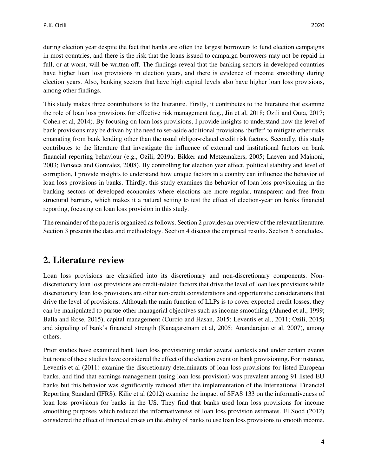during election year despite the fact that banks are often the largest borrowers to fund election campaigns in most countries, and there is the risk that the loans issued to campaign borrowers may not be repaid in full, or at worst, will be written off. The findings reveal that the banking sectors in developed countries have higher loan loss provisions in election years, and there is evidence of income smoothing during election years. Also, banking sectors that have high capital levels also have higher loan loss provisions, among other findings.

This study makes three contributions to the literature. Firstly, it contributes to the literature that examine the role of loan loss provisions for effective risk management (e.g., Jin et al, 2018; Ozili and Outa, 2017; Cohen et al, 2014). By focusing on loan loss provisions, I provide insights to understand how the level of bank provisions may be driven by the need to set-aside additional provisions 'buffer' to mitigate other risks emanating from bank lending other than the usual obligor-related credit risk factors. Secondly, this study contributes to the literature that investigate the influence of external and institutional factors on bank financial reporting behaviour (e.g., Ozili, 2019a; Bikker and Metzemakers, 2005; Laeven and Majnoni, 2003; Fonseca and Gonzalez, 2008). By controlling for election year effect, political stability and level of corruption, I provide insights to understand how unique factors in a country can influence the behavior of loan loss provisions in banks. Thirdly, this study examines the behavior of loan loss provisioning in the banking sectors of developed economies where elections are more regular, transparent and free from structural barriers, which makes it a natural setting to test the effect of election-year on banks financial reporting, focusing on loan loss provision in this study.

The remainder of the paper is organized as follows. Section 2 provides an overview of the relevant literature. Section 3 presents the data and methodology. Section 4 discuss the empirical results. Section 5 concludes.

# **2. Literature review**

Loan loss provisions are classified into its discretionary and non-discretionary components. Nondiscretionary loan loss provisions are credit-related factors that drive the level of loan loss provisions while discretionary loan loss provisions are other non-credit considerations and opportunistic considerations that drive the level of provisions. Although the main function of LLPs is to cover expected credit losses, they can be manipulated to pursue other managerial objectives such as income smoothing (Ahmed et al., 1999; Balla and Rose, 2015), capital management (Curcio and Hasan, 2015; Leventis et al., 2011; Ozili, 2015) and signaling of bank's financial strength (Kanagaretnam et al, 2005; Anandarajan et al, 2007), among others.

Prior studies have examined bank loan loss provisioning under several contexts and under certain events but none of these studies have considered the effect of the election event on bank provisioning. For instance, Leventis et al (2011) examine the discretionary determinants of loan loss provisions for listed European banks, and find that earnings management (using loan loss provision) was prevalent among 91 listed EU banks but this behavior was significantly reduced after the implementation of the International Financial Reporting Standard (IFRS). Kilic et al (2012) examine the impact of SFAS 133 on the informativeness of loan loss provisions for banks in the US. They find that banks used loan loss provisions for income smoothing purposes which reduced the informativeness of loan loss provision estimates. El Sood (2012) considered the effect of financial crises on the ability of banks to use loan loss provisions to smooth income.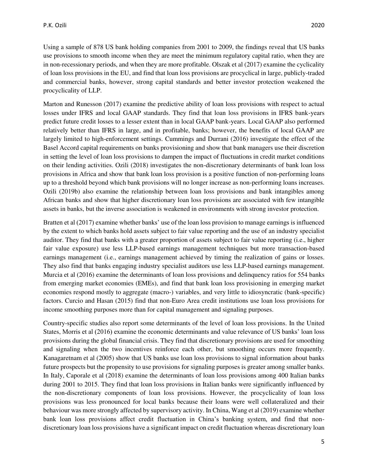Using a sample of 878 US bank holding companies from 2001 to 2009, the findings reveal that US banks use provisions to smooth income when they are meet the minimum regulatory capital ratio, when they are in non-recessionary periods, and when they are more profitable. Olszak et al (2017) examine the cyclicality of loan loss provisions in the EU, and find that loan loss provisions are procyclical in large, publicly-traded and commercial banks, however, strong capital standards and better investor protection weakened the procyclicality of LLP.

Marton and Runesson (2017) examine the predictive ability of loan loss provisions with respect to actual losses under IFRS and local GAAP standards. They find that loan loss provisions in IFRS bank-years predict future credit losses to a lesser extent than in local GAAP bank-years. Local GAAP also performed relatively better than IFRS in large, and in profitable, banks; however, the benefits of local GAAP are largely limited to high-enforcement settings. Cummings and Durrani (2016) investigate the effect of the Basel Accord capital requirements on banks provisioning and show that bank managers use their discretion in setting the level of loan loss provisions to dampen the impact of fluctuations in credit market conditions on their lending activities. Ozili (2018) investigates the non-discretionary determinants of bank loan loss provisions in Africa and show that bank loan loss provision is a positive function of non-performing loans up to a threshold beyond which bank provisions will no longer increase as non-performing loans increases. Ozili (2019b) also examine the relationship between loan loss provisions and bank intangibles among African banks and show that higher discretionary loan loss provisions are associated with few intangible assets in banks, but the inverse association is weakened in environments with strong investor protection.

Bratten et al (2017) examine whether banks' use of the loan loss provision to manage earnings is influenced by the extent to which banks hold assets subject to fair value reporting and the use of an industry specialist auditor. They find that banks with a greater proportion of assets subject to fair value reporting (i.e., higher fair value exposure) use less LLP-based earnings management techniques but more transaction-based earnings management (i.e., earnings management achieved by timing the realization of gains or losses. They also find that banks engaging industry specialist auditors use less LLP-based earnings management. Murcia et al (2016) examine the determinants of loan loss provisions and delinquency ratios for 554 banks from emerging market economies (EMEs), and find that bank loan loss provisioning in emerging market economies respond mostly to aggregate (macro-) variables, and very little to idiosyncratic (bank-specific) factors. Curcio and Hasan (2015) find that non-Euro Area credit institutions use loan loss provisions for income smoothing purposes more than for capital management and signaling purposes.

Country-specific studies also report some determinants of the level of loan loss provisions. In the United States, Morris et al (2016) examine the economic determinants and value relevance of US banks' loan loss provisions during the global financial crisis. They find that discretionary provisions are used for smoothing and signaling when the two incentives reinforce each other, but smoothing occurs more frequently. Kanagaretnam et al (2005) show that US banks use loan loss provisions to signal information about banks future prospects but the propensity to use provisions for signaling purposes is greater among smaller banks. In Italy, Caporale et al (2018) examine the determinants of loan loss provisions among 400 Italian banks during 2001 to 2015. They find that loan loss provisions in Italian banks were significantly influenced by the non-discretionary components of loan loss provisions. However, the procyclicality of loan loss provisions was less pronounced for local banks because their loans were well collateralized and their behaviour was more strongly affected by supervisory activity. In China, Wang et al (2019) examine whether bank loan loss provisions affect credit fluctuation in China's banking system, and find that nondiscretionary loan loss provisions have a significant impact on credit fluctuation whereas discretionary loan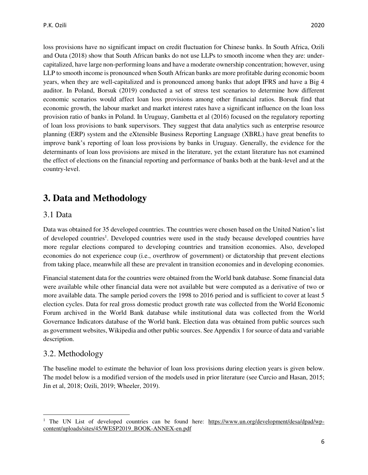loss provisions have no significant impact on credit fluctuation for Chinese banks. In South Africa, Ozili and Outa (2018) show that South African banks do not use LLPs to smooth income when they are: undercapitalized, have large non-performing loans and have a moderate ownership concentration; however, using LLP to smooth income is pronounced when South African banks are more profitable during economic boom years, when they are well-capitalized and is pronounced among banks that adopt IFRS and have a Big 4 auditor. In Poland, Borsuk (2019) conducted a set of stress test scenarios to determine how different economic scenarios would affect loan loss provisions among other financial ratios. Borsuk find that economic growth, the labour market and market interest rates have a significant influence on the loan loss provision ratio of banks in Poland. In Uruguay, Gambetta et al (2016) focused on the regulatory reporting of loan loss provisions to bank supervisors. They suggest that data analytics such as enterprise resource planning (ERP) system and the eXtensible Business Reporting Language (XBRL) have great benefits to improve bank's reporting of loan loss provisions by banks in Uruguay. Generally, the evidence for the determinants of loan loss provisions are mixed in the literature, yet the extant literature has not examined the effect of elections on the financial reporting and performance of banks both at the bank-level and at the country-level.

# **3. Data and Methodology**

## 3.1 Data

Data was obtained for 35 developed countries. The countries were chosen based on the United Nation's list of developed countries<sup>1</sup>. Developed countries were used in the study because developed countries have more regular elections compared to developing countries and transition economies. Also, developed economies do not experience coup (i.e., overthrow of government) or dictatorship that prevent elections from taking place, meanwhile all these are prevalent in transition economies and in developing economies.

Financial statement data for the countries were obtained from the World bank database. Some financial data were available while other financial data were not available but were computed as a derivative of two or more available data. The sample period covers the 1998 to 2016 period and is sufficient to cover at least 5 election cycles. Data for real gross domestic product growth rate was collected from the World Economic Forum archived in the World Bank database while institutional data was collected from the World Governance Indicators database of the World bank. Election data was obtained from public sources such as government websites, Wikipedia and other public sources. See Appendix 1 for source of data and variable description.

# 3.2. Methodology

l

The baseline model to estimate the behavior of loan loss provisions during election years is given below. The model below is a modified version of the models used in prior literature (see Curcio and Hasan, 2015; Jin et al, 2018; Ozili, 2019; Wheeler, 2019).

<sup>&</sup>lt;sup>1</sup> The UN List of developed countries can be found here: [https://www.un.org/development/desa/dpad/wp](https://www.un.org/development/desa/dpad/wp-content/uploads/sites/45/WESP2019_BOOK-ANNEX-en.pdf)[content/uploads/sites/45/WESP2019\\_BOOK-ANNEX-en.pdf](https://www.un.org/development/desa/dpad/wp-content/uploads/sites/45/WESP2019_BOOK-ANNEX-en.pdf)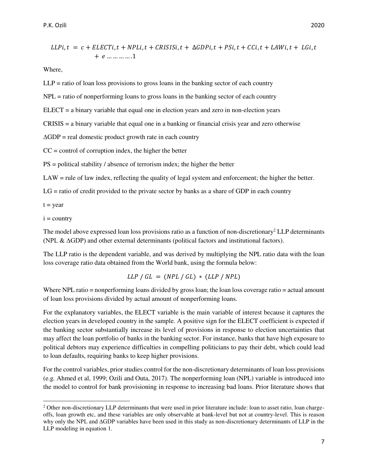$$
LLPi, t = c + ELECTi, t + NPLi, t + CRISISi, t + \Delta GDPi, t + PSi, t + CCi, t + LAWi, t + LGi, t + e \dots \dots \dots \dots 1
$$

Where,

 $LLP =$  ratio of loan loss provisions to gross loans in the banking sector of each country

NPL = ratio of nonperforming loans to gross loans in the banking sector of each country

ELECT = a binary variable that equal one in election years and zero in non-election years

CRISIS = a binary variable that equal one in a banking or financial crisis year and zero otherwise

 $\Delta$ GDP = real domestic product growth rate in each country

 $CC =$  control of corruption index, the higher the better

PS = political stability / absence of terrorism index; the higher the better

LAW = rule of law index, reflecting the quality of legal system and enforcement; the higher the better.

 $LG =$  ratio of credit provided to the private sector by banks as a share of GDP in each country

 $t = year$ 

l

 $i =$  country

The model above expressed loan loss provisions ratio as a function of non-discretionary<sup>2</sup> LLP determinants (NPL & ∆GDP) and other external determinants (political factors and institutional factors).

The LLP ratio is the dependent variable, and was derived by multiplying the NPL ratio data with the loan loss coverage ratio data obtained from the World bank, using the formula below:

 $LLP / GL = (NPL / GL) * (LLP / NPL)$ 

Where NPL ratio = nonperforming loans divided by gross loan; the loan loss coverage ratio = actual amount of loan loss provisions divided by actual amount of nonperforming loans.

For the explanatory variables, the ELECT variable is the main variable of interest because it captures the election years in developed country in the sample. A positive sign for the ELECT coefficient is expected if the banking sector substantially increase its level of provisions in response to election uncertainties that may affect the loan portfolio of banks in the banking sector. For instance, banks that have high exposure to political debtors may experience difficulties in compelling politicians to pay their debt, which could lead to loan defaults, requiring banks to keep higher provisions.

For the control variables, prior studies control for the non-discretionary determinants of loan loss provisions (e.g. Ahmed et al, 1999; Ozili and Outa, 2017). The nonperforming loan (NPL) variable is introduced into the model to control for bank provisioning in response to increasing bad loans. Prior literature shows that

<sup>&</sup>lt;sup>2</sup> Other non-discretionary LLP determinants that were used in prior literature include: loan to asset ratio, loan chargeoffs, loan growth etc, and these variables are only observable at bank-level but not at country-level. This is reason why only the NPL and ∆GDP variables have been used in this study as non-discretionary determinants of LLP in the LLP modeling in equation 1.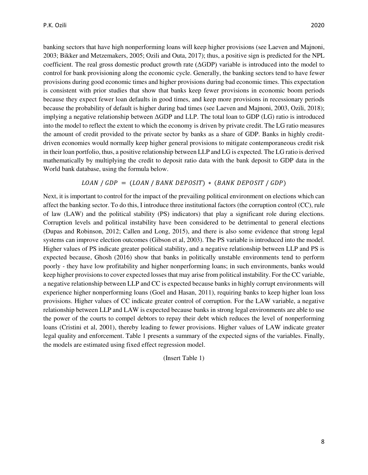banking sectors that have high nonperforming loans will keep higher provisions (see Laeven and Majnoni, 2003; Bikker and Metzemakers, 2005; Ozili and Outa, 2017); thus, a positive sign is predicted for the NPL coefficient. The real gross domestic product growth rate (ΔGDP) variable is introduced into the model to control for bank provisioning along the economic cycle. Generally, the banking sectors tend to have fewer provisions during good economic times and higher provisions during bad economic times. This expectation is consistent with prior studies that show that banks keep fewer provisions in economic boom periods because they expect fewer loan defaults in good times, and keep more provisions in recessionary periods because the probability of default is higher during bad times (see Laeven and Majnoni, 2003, Ozili, 2018); implying a negative relationship between ΔGDP and LLP. The total loan to GDP (LG) ratio is introduced into the model to reflect the extent to which the economy is driven by private credit. The LG ratio measures the amount of credit provided to the private sector by banks as a share of GDP. Banks in highly creditdriven economies would normally keep higher general provisions to mitigate contemporaneous credit risk in their loan portfolio, thus, a positive relationship between LLP and LG is expected. The LG ratio is derived mathematically by multiplying the credit to deposit ratio data with the bank deposit to GDP data in the World bank database, using the formula below.

### $LOAN / GDP = (LOAN / BANK DEPOSITION) * (BANK DEPOSITION / GDP)$

Next, it is important to control for the impact of the prevailing political environment on elections which can affect the banking sector. To do this, I introduce three institutional factors (the corruption control (CC), rule of law (LAW) and the political stability (PS) indicators) that play a significant role during elections. Corruption levels and political instability have been considered to be detrimental to general elections (Dupas and Robinson, 2012; Callen and Long, 2015), and there is also some evidence that strong legal systems can improve election outcomes (Gibson et al, 2003). The PS variable is introduced into the model. Higher values of PS indicate greater political stability, and a negative relationship between LLP and PS is expected because, Ghosh (2016) show that banks in politically unstable environments tend to perform poorly - they have low profitability and higher nonperforming loans; in such environments, banks would keep higher provisions to cover expected losses that may arise from political instability. For the CC variable, a negative relationship between LLP and CC is expected because banks in highly corrupt environments will experience higher nonperforming loans (Goel and Hasan, 2011), requiring banks to keep higher loan loss provisions. Higher values of CC indicate greater control of corruption. For the LAW variable, a negative relationship between LLP and LAW is expected because banks in strong legal environments are able to use the power of the courts to compel debtors to repay their debt which reduces the level of nonperforming loans (Cristini et al, 2001), thereby leading to fewer provisions. Higher values of LAW indicate greater legal quality and enforcement. Table 1 presents a summary of the expected signs of the variables. Finally, the models are estimated using fixed effect regression model.

#### (Insert Table 1)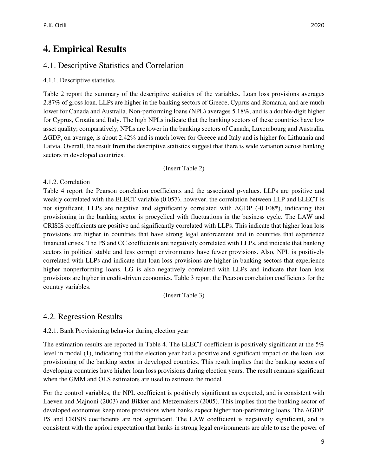# **4. Empirical Results**

# 4.1. Descriptive Statistics and Correlation

### 4.1.1. Descriptive statistics

Table 2 report the summary of the descriptive statistics of the variables. Loan loss provisions averages 2.87% of gross loan. LLPs are higher in the banking sectors of Greece, Cyprus and Romania, and are much lower for Canada and Australia. Non-performing loans (NPL) averages 5.18%, and is a double-digit higher for Cyprus, Croatia and Italy. The high NPLs indicate that the banking sectors of these countries have low asset quality; comparatively, NPLs are lower in the banking sectors of Canada, Luxembourg and Australia. ΔGDP, on average, is about 2.42% and is much lower for Greece and Italy and is higher for Lithuania and Latvia. Overall, the result from the descriptive statistics suggest that there is wide variation across banking sectors in developed countries.

### (Insert Table 2)

### 4.1.2. Correlation

Table 4 report the Pearson correlation coefficients and the associated p-values. LLPs are positive and weakly correlated with the ELECT variable (0.057), however, the correlation between LLP and ELECT is not significant. LLPs are negative and significantly correlated with ΔGDP (-0.108\*), indicating that provisioning in the banking sector is procyclical with fluctuations in the business cycle. The LAW and CRISIS coefficients are positive and significantly correlated with LLPs. This indicate that higher loan loss provisions are higher in countries that have strong legal enforcement and in countries that experience financial crises. The PS and CC coefficients are negatively correlated with LLPs, and indicate that banking sectors in political stable and less corrupt environments have fewer provisions. Also, NPL is positively correlated with LLPs and indicate that loan loss provisions are higher in banking sectors that experience higher nonperforming loans. LG is also negatively correlated with LLPs and indicate that loan loss provisions are higher in credit-driven economies. Table 3 report the Pearson correlation coefficients for the country variables.

(Insert Table 3)

# 4.2. Regression Results

### 4.2.1. Bank Provisioning behavior during election year

The estimation results are reported in Table 4. The ELECT coefficient is positively significant at the 5% level in model (1), indicating that the election year had a positive and significant impact on the loan loss provisioning of the banking sector in developed countries. This result implies that the banking sectors of developing countries have higher loan loss provisions during election years. The result remains significant when the GMM and OLS estimators are used to estimate the model.

For the control variables, the NPL coefficient is positively significant as expected, and is consistent with Laeven and Majnoni (2003) and Bikker and Metzemakers (2005). This implies that the banking sector of developed economies keep more provisions when banks expect higher non-performing loans. The ∆GDP, PS and CRISIS coefficients are not significant. The LAW coefficient is negatively significant, and is consistent with the apriori expectation that banks in strong legal environments are able to use the power of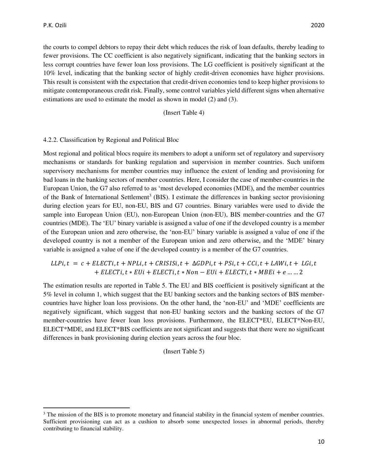l

the courts to compel debtors to repay their debt which reduces the risk of loan defaults, thereby leading to fewer provisions. The CC coefficient is also negatively significant, indicating that the banking sectors in less corrupt countries have fewer loan loss provisions. The LG coefficient is positively significant at the 10% level, indicating that the banking sector of highly credit-driven economies have higher provisions. This result is consistent with the expectation that credit-driven economies tend to keep higher provisions to mitigate contemporaneous credit risk. Finally, some control variables yield different signs when alternative estimations are used to estimate the model as shown in model (2) and (3).

(Insert Table 4)

### 4.2.2. Classification by Regional and Political Bloc

Most regional and political blocs require its members to adopt a uniform set of regulatory and supervisory mechanisms or standards for banking regulation and supervision in member countries. Such uniform supervisory mechanisms for member countries may influence the extent of lending and provisioning for bad loans in the banking sectors of member countries. Here, I consider the case of member-countries in the European Union, the G7 also referred to as 'most developed economies (MDE), and the member countries of the Bank of International Settlement<sup>3</sup> (BIS). I estimate the differences in banking sector provisioning during election years for EU, non-EU, BIS and G7 countries. Binary variables were used to divide the sample into European Union (EU), non-European Union (non-EU), BIS member-countries and the G7 countries (MDE). The 'EU' binary variable is assigned a value of one if the developed country is a member of the European union and zero otherwise, the 'non-EU' binary variable is assigned a value of one if the developed country is not a member of the European union and zero otherwise, and the 'MDE' binary variable is assigned a value of one if the developed country is a member of the G7 countries.

 $LLPi$ ;  $t = c + ELECT$ ;  $t + NPL$ ;  $t + CRISIS$ ;  $t + \Delta GDP$ ;  $t + PS$ ;  $t + CC$ ;  $t + LAW$ ;  $t + LG$ ;  $t$  $+$   $ELECTi, t * EUi + ELECTi, t * Non - EUi + ELECTi, t * MBEi + e ...$ 

The estimation results are reported in Table 5. The EU and BIS coefficient is positively significant at the 5% level in column 1, which suggest that the EU banking sectors and the banking sectors of BIS membercountries have higher loan loss provisions. On the other hand, the 'non-EU' and 'MDE' coefficients are negatively significant, which suggest that non-EU banking sectors and the banking sectors of the G7 member-countries have fewer loan loss provisions. Furthermore, the ELECT\*EU, ELECT\*Non-EU, ELECT\*MDE, and ELECT\*BIS coefficients are not significant and suggests that there were no significant differences in bank provisioning during election years across the four bloc.

(Insert Table 5)

<sup>&</sup>lt;sup>3</sup> The mission of the BIS is to promote monetary and financial stability in the financial system of member countries. Sufficient provisioning can act as a cushion to absorb some unexpected losses in abnormal periods, thereby contributing to financial stability.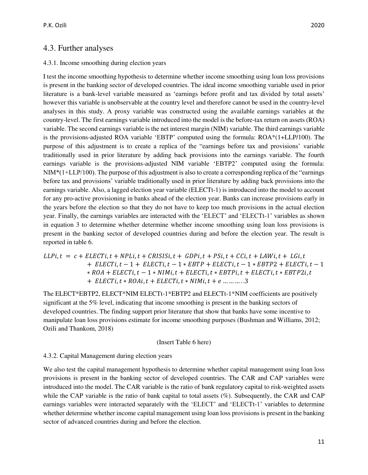### 4.3.1. Income smoothing during election years

I test the income smoothing hypothesis to determine whether income smoothing using loan loss provisions is present in the banking sector of developed countries. The ideal income smoothing variable used in prior literature is a bank-level variable measured as 'earnings before profit and tax divided by total assets' however this variable is unobservable at the country level and therefore cannot be used in the country-level analyses in this study. A proxy variable was constructed using the available earnings variables at the country-level. The first earnings variable introduced into the model is the before-tax return on assets (ROA) variable. The second earnings variable is the net interest margin (NIM) variable. The third earnings variable is the provisions-adjusted ROA variable 'EBTP' computed using the formula: ROA\*(1+LLP/100). The purpose of this adjustment is to create a replica of the "earnings before tax and provisions' variable traditionally used in prior literature by adding back provisions into the earnings variable. The fourth earnings variable is the provisions-adjusted NIM variable 'EBTP2' computed using the formula: NIM\*(1+LLP/100). The purpose of this adjustment is also to create a corresponding replica of the "earnings before tax and provisions' variable traditionally used in prior literature by adding back provisions into the earnings variable. Also, a lagged election year variable (ELECTt-1) is introduced into the model to account for any pro-active provisioning in banks ahead of the election year. Banks can increase provisions early in the years before the election so that they do not have to keep too much provisions in the actual election year. Finally, the earnings variables are interacted with the 'ELECT' and 'ELECTt-1' variables as shown in equation 3 to determine whether determine whether income smoothing using loan loss provisions is present in the banking sector of developed countries during and before the election year. The result is reported in table 6.

$$
\begin{aligned} LLPi_t &= c + ELECTi, t + NPLi, t + CRISISi, t + GDPi, t + PSi, t + CCi, t + LAWi, t + LGi, t \\ &+ ELECTi, t - 1 + ELECTi, t - 1 * EBTP + ELECTi, t - 1 * EBTP2 + ELECTi, t - 1 \\ &* ROA + ELECTi, t - 1 * NIMi, t + ELECTi, t * EBPPi, t + ELECTi, t * EBTP2i, t \\ &+ ELECTi, t * ROAi, t + ELECTi, t * NIMi, t + e \dots \dots \dots \cdot 3 \end{aligned}
$$

The ELECT\*EBTP2, ELECT\*NIM ELECTt-1\*EBTP2 and ELECTt-1\*NIM coefficients are positively significant at the 5% level, indicating that income smoothing is present in the banking sectors of developed countries. The finding support prior literature that show that banks have some incentive to manipulate loan loss provisions estimate for income smoothing purposes (Bushman and Williams, 2012; Ozili and Thankom, 2018)

#### (Insert Table 6 here)

#### 4.3.2. Capital Management during election years

We also test the capital management hypothesis to determine whether capital management using loan loss provisions is present in the banking sector of developed countries. The CAR and CAP variables were introduced into the model. The CAR variable is the ratio of bank regulatory capital to risk-weighted assets while the CAP variable is the ratio of bank capital to total assets (%). Subsequently, the CAR and CAP earnings variables were interacted separately with the 'ELECT' and 'ELECTt-1' variables to determine whether determine whether income capital management using loan loss provisions is present in the banking sector of advanced countries during and before the election.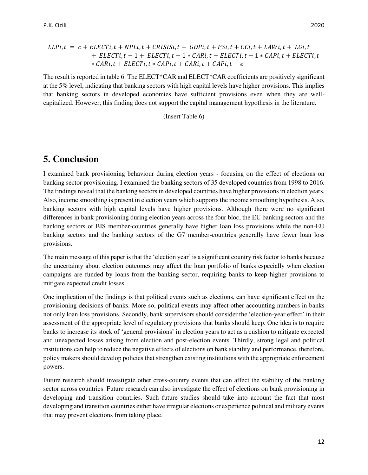$$
LLPi, t = c + ELECTi, t + NPLi, t + CRISISi, t + GDPi, t + PSi, t + CCi, t + LAWi, t + LGi, t + ELECTi, t - 1 + ELECTi, t - 1 * CARi, t + ELECTi, t - 1 * CAPi, t + ELECTi, t + CARi, t + CAPi, t + e
$$
  
\* *CARI, t + ELECTi, t \* CAPi, t + CARi, t + CAPi, t + e*

The result is reported in table 6. The ELECT\*CAR and ELECT\*CAR coefficients are positively significant at the 5% level, indicating that banking sectors with high capital levels have higher provisions. This implies that banking sectors in developed economies have sufficient provisions even when they are wellcapitalized. However, this finding does not support the capital management hypothesis in the literature.

#### (Insert Table 6)

# **5. Conclusion**

I examined bank provisioning behaviour during election years - focusing on the effect of elections on banking sector provisioning. I examined the banking sectors of 35 developed countries from 1998 to 2016. The findings reveal that the banking sectors in developed countries have higher provisions in election years. Also, income smoothing is present in election years which supports the income smoothing hypothesis. Also, banking sectors with high capital levels have higher provisions. Although there were no significant differences in bank provisioning during election years across the four bloc, the EU banking sectors and the banking sectors of BIS member-countries generally have higher loan loss provisions while the non-EU banking sectors and the banking sectors of the G7 member-countries generally have fewer loan loss provisions.

The main message of this paper is that the 'election year' is a significant country risk factor to banks because the uncertainty about election outcomes may affect the loan portfolio of banks especially when election campaigns are funded by loans from the banking sector, requiring banks to keep higher provisions to mitigate expected credit losses.

One implication of the findings is that political events such as elections, can have significant effect on the provisioning decisions of banks. More so, political events may affect other accounting numbers in banks not only loan loss provisions. Secondly, bank supervisors should consider the 'election-year effect' in their assessment of the appropriate level of regulatory provisions that banks should keep. One idea is to require banks to increase its stock of 'general provisions' in election years to act as a cushion to mitigate expected and unexpected losses arising from election and post-election events. Thirdly, strong legal and political institutions can help to reduce the negative effects of elections on bank stability and performance, therefore, policy makers should develop policies that strengthen existing institutions with the appropriate enforcement powers.

Future research should investigate other cross-country events that can affect the stability of the banking sector across countries. Future research can also investigate the effect of elections on bank provisioning in developing and transition countries. Such future studies should take into account the fact that most developing and transition countries either have irregular elections or experience political and military events that may prevent elections from taking place.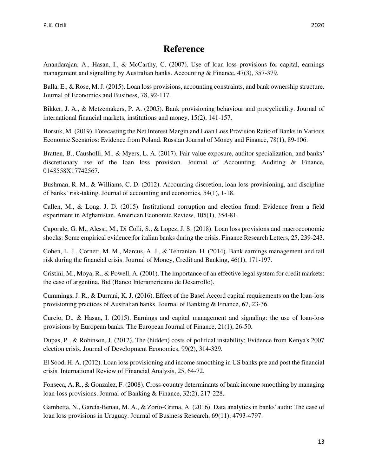# **Reference**

Anandarajan, A., Hasan, I., & McCarthy, C. (2007). Use of loan loss provisions for capital, earnings management and signalling by Australian banks. Accounting & Finance, 47(3), 357-379.

Balla, E., & Rose, M. J. (2015). Loan loss provisions, accounting constraints, and bank ownership structure. Journal of Economics and Business, 78, 92-117.

Bikker, J. A., & Metzemakers, P. A. (2005). Bank provisioning behaviour and procyclicality. Journal of international financial markets, institutions and money, 15(2), 141-157.

Borsuk, M. (2019). Forecasting the Net Interest Margin and Loan Loss Provision Ratio of Banks in Various Economic Scenarios: Evidence from Poland. Russian Journal of Money and Finance, 78(1), 89-106.

Bratten, B., Causholli, M., & Myers, L. A. (2017). Fair value exposure, auditor specialization, and banks' discretionary use of the loan loss provision. Journal of Accounting, Auditing & Finance, 0148558X17742567.

Bushman, R. M., & Williams, C. D. (2012). Accounting discretion, loan loss provisioning, and discipline of banks' risk-taking. Journal of accounting and economics, 54(1), 1-18.

Callen, M., & Long, J. D. (2015). Institutional corruption and election fraud: Evidence from a field experiment in Afghanistan. American Economic Review, 105(1), 354-81.

Caporale, G. M., Alessi, M., Di Colli, S., & Lopez, J. S. (2018). Loan loss provisions and macroeconomic shocks: Some empirical evidence for italian banks during the crisis. Finance Research Letters, 25, 239-243.

Cohen, L. J., Cornett, M. M., Marcus, A. J., & Tehranian, H. (2014). Bank earnings management and tail risk during the financial crisis. Journal of Money, Credit and Banking, 46(1), 171-197.

Cristini, M., Moya, R., & Powell, A. (2001). The importance of an effective legal system for credit markets: the case of argentina. Bid (Banco Interamericano de Desarrollo).

Cummings, J. R., & Durrani, K. J. (2016). Effect of the Basel Accord capital requirements on the loan-loss provisioning practices of Australian banks. Journal of Banking & Finance, 67, 23-36.

Curcio, D., & Hasan, I. (2015). Earnings and capital management and signaling: the use of loan-loss provisions by European banks. The European Journal of Finance, 21(1), 26-50.

Dupas, P., & Robinson, J. (2012). The (hidden) costs of political instability: Evidence from Kenya's 2007 election crisis. Journal of Development Economics, 99(2), 314-329.

El Sood, H. A. (2012). Loan loss provisioning and income smoothing in US banks pre and post the financial crisis. International Review of Financial Analysis, 25, 64-72.

Fonseca, A. R., & Gonzalez, F. (2008). Cross-country determinants of bank income smoothing by managing loan-loss provisions. Journal of Banking & Finance, 32(2), 217-228.

Gambetta, N., García-Benau, M. A., & Zorio-Grima, A. (2016). Data analytics in banks' audit: The case of loan loss provisions in Uruguay. Journal of Business Research, 69(11), 4793-4797.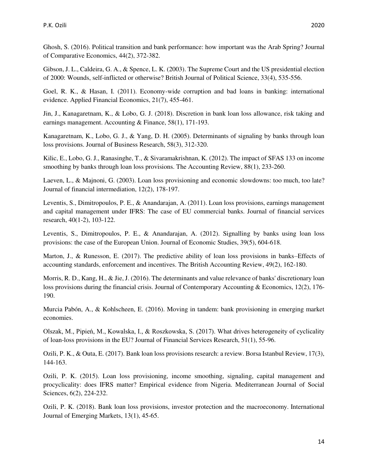Ghosh, S. (2016). Political transition and bank performance: how important was the Arab Spring? Journal of Comparative Economics, 44(2), 372-382.

Gibson, J. L., Caldeira, G. A., & Spence, L. K. (2003). The Supreme Court and the US presidential election of 2000: Wounds, self-inflicted or otherwise? British Journal of Political Science, 33(4), 535-556.

Goel, R. K., & Hasan, I. (2011). Economy-wide corruption and bad loans in banking: international evidence. Applied Financial Economics, 21(7), 455-461.

Jin, J., Kanagaretnam, K., & Lobo, G. J. (2018). Discretion in bank loan loss allowance, risk taking and earnings management. Accounting & Finance, 58(1), 171-193.

Kanagaretnam, K., Lobo, G. J., & Yang, D. H. (2005). Determinants of signaling by banks through loan loss provisions. Journal of Business Research, 58(3), 312-320.

Kilic, E., Lobo, G. J., Ranasinghe, T., & Sivaramakrishnan, K. (2012). The impact of SFAS 133 on income smoothing by banks through loan loss provisions. The Accounting Review, 88(1), 233-260.

Laeven, L., & Majnoni, G. (2003). Loan loss provisioning and economic slowdowns: too much, too late? Journal of financial intermediation, 12(2), 178-197.

Leventis, S., Dimitropoulos, P. E., & Anandarajan, A. (2011). Loan loss provisions, earnings management and capital management under IFRS: The case of EU commercial banks. Journal of financial services research, 40(1-2), 103-122.

Leventis, S., Dimitropoulos, P. E., & Anandarajan, A. (2012). Signalling by banks using loan loss provisions: the case of the European Union. Journal of Economic Studies, 39(5), 604-618.

Marton, J., & Runesson, E. (2017). The predictive ability of loan loss provisions in banks–Effects of accounting standards, enforcement and incentives. The British Accounting Review, 49(2), 162-180.

Morris, R. D., Kang, H., & Jie, J. (2016). The determinants and value relevance of banks' discretionary loan loss provisions during the financial crisis. Journal of Contemporary Accounting & Economics, 12(2), 176-190.

Murcia Pabón, A., & Kohlscheen, E. (2016). Moving in tandem: bank provisioning in emerging market economies.

Olszak, M., Pipień, M., Kowalska, I., & Roszkowska, S. (2017). What drives heterogeneity of cyclicality of loan-loss provisions in the EU? Journal of Financial Services Research, 51(1), 55-96.

Ozili, P. K., & Outa, E. (2017). Bank loan loss provisions research: a review. Borsa Istanbul Review, 17(3), 144-163.

Ozili, P. K. (2015). Loan loss provisioning, income smoothing, signaling, capital management and procyclicality: does IFRS matter? Empirical evidence from Nigeria. Mediterranean Journal of Social Sciences, 6(2), 224-232.

Ozili, P. K. (2018). Bank loan loss provisions, investor protection and the macroeconomy. International Journal of Emerging Markets, 13(1), 45-65.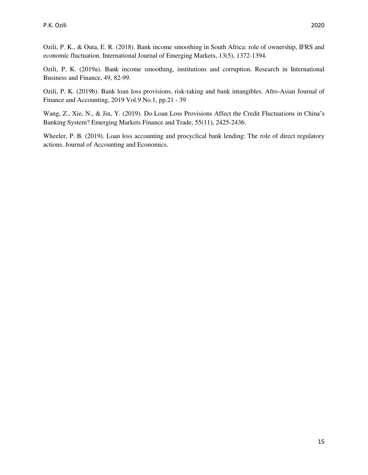Ozili, P. K., & Outa, E. R. (2018). Bank income smoothing in South Africa: role of ownership, IFRS and economic fluctuation. International Journal of Emerging Markets, 13(5), 1372-1394.

Ozili, P. K. (2019a). Bank income smoothing, institutions and corruption. Research in International Business and Finance, 49, 82-99.

Ozili, P. K. (2019b). Bank loan loss provisions, risk-taking and bank intangibles. Afro-Asian Journal of Finance and Accounting, 2019 Vol.9 No.1, pp.21 - 39

Wang, Z., Xie, N., & Jin, Y. (2019). Do Loan Loss Provisions Affect the Credit Fluctuations in China's Banking System? Emerging Markets Finance and Trade, 55(11), 2425-2436.

Wheeler, P. B. (2019). Loan loss accounting and procyclical bank lending: The role of direct regulatory actions. Journal of Accounting and Economics.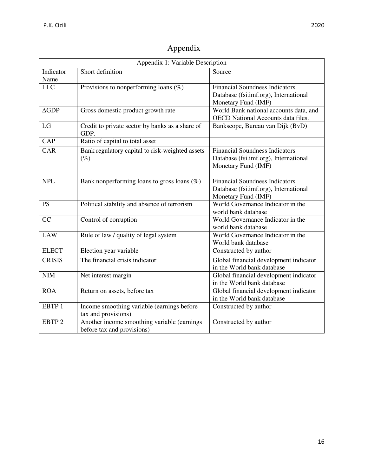# Appendix

| Appendix 1: Variable Description |                                                                           |                                                                                                       |  |  |  |  |
|----------------------------------|---------------------------------------------------------------------------|-------------------------------------------------------------------------------------------------------|--|--|--|--|
| Indicator<br>Name                | Short definition                                                          | Source                                                                                                |  |  |  |  |
| <b>LLC</b>                       | Provisions to nonperforming loans $(\%)$                                  | <b>Financial Soundness Indicators</b><br>Database (fsi.imf.org), International<br>Monetary Fund (IMF) |  |  |  |  |
| $\triangle$ GDP                  | Gross domestic product growth rate                                        | World Bank national accounts data, and<br><b>OECD</b> National Accounts data files.                   |  |  |  |  |
| LG                               | Credit to private sector by banks as a share of<br>GDP.                   | Bankscope, Bureau van Dijk (BvD)                                                                      |  |  |  |  |
| <b>CAP</b>                       | Ratio of capital to total asset                                           |                                                                                                       |  |  |  |  |
| CAR                              | Bank regulatory capital to risk-weighted assets<br>$(\%)$                 | <b>Financial Soundness Indicators</b><br>Database (fsi.imf.org), International<br>Monetary Fund (IMF) |  |  |  |  |
| <b>NPL</b>                       | Bank nonperforming loans to gross loans $(\%)$                            | <b>Financial Soundness Indicators</b><br>Database (fsi.imf.org), International<br>Monetary Fund (IMF) |  |  |  |  |
| <b>PS</b>                        | Political stability and absence of terrorism                              | World Governance Indicator in the<br>world bank database                                              |  |  |  |  |
| CC                               | Control of corruption                                                     | World Governance Indicator in the<br>world bank database                                              |  |  |  |  |
| <b>LAW</b>                       | Rule of law / quality of legal system                                     | World Governance Indicator in the<br>World bank database                                              |  |  |  |  |
| <b>ELECT</b>                     | Election year variable                                                    | Constructed by author                                                                                 |  |  |  |  |
| <b>CRISIS</b>                    | The financial crisis indicator                                            | Global financial development indicator<br>in the World bank database                                  |  |  |  |  |
| NIM                              | Net interest margin                                                       | Global financial development indicator<br>in the World bank database                                  |  |  |  |  |
| <b>ROA</b>                       | Return on assets, before tax                                              | Global financial development indicator<br>in the World bank database                                  |  |  |  |  |
| EBTP 1                           | Income smoothing variable (earnings before<br>tax and provisions)         | Constructed by author                                                                                 |  |  |  |  |
| EBTP <sub>2</sub>                | Another income smoothing variable (earnings<br>before tax and provisions) | Constructed by author                                                                                 |  |  |  |  |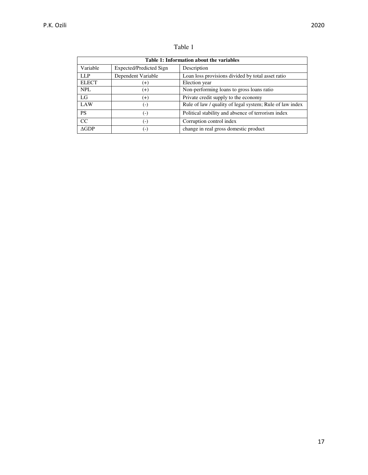| ٧<br>۰. |  |
|---------|--|
|         |  |

| Table 1: Information about the variables |                         |                                                          |  |  |  |  |  |
|------------------------------------------|-------------------------|----------------------------------------------------------|--|--|--|--|--|
| Variable                                 | Expected/Predicted Sign | Description                                              |  |  |  |  |  |
| LLP                                      | Dependent Variable      | Loan loss provisions divided by total asset ratio        |  |  |  |  |  |
| <b>ELECT</b>                             | $(+)$                   | Election year                                            |  |  |  |  |  |
| <b>NPL</b>                               | $^{(+)}$                | Non-performing loans to gross loans ratio                |  |  |  |  |  |
| LG                                       | $^{(+)}$                | Private credit supply to the economy                     |  |  |  |  |  |
| <b>LAW</b>                               | $(-)$                   | Rule of law / quality of legal system; Rule of law index |  |  |  |  |  |
| <b>PS</b>                                | $(\textnormal{-})$      | Political stability and absence of terrorism index       |  |  |  |  |  |
| CC                                       | ( – )                   | Corruption control index                                 |  |  |  |  |  |
| $\triangle$ GDP                          | ( – )                   | change in real gross domestic product                    |  |  |  |  |  |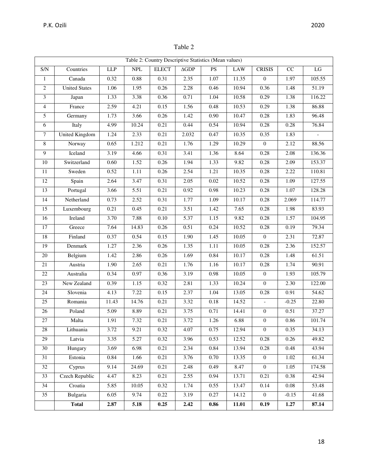| Н<br>г<br>٠ |  |
|-------------|--|
|-------------|--|

|                 | Table 2: Country Descriptive Statistics (Mean values) |             |                             |              |                     |                        |            |                  |                   |        |
|-----------------|-------------------------------------------------------|-------------|-----------------------------|--------------|---------------------|------------------------|------------|------------------|-------------------|--------|
| S/N             | Countries                                             | ${\rm LLP}$ | $\ensuremath{\mathsf{NPL}}$ | <b>ELECT</b> | $\Delta \text{GDP}$ | $\mathbf{P}\mathbf{S}$ | <b>LAW</b> | <b>CRISIS</b>    | $\rm CC$          | LG     |
| 1               | Canada                                                | 0.32        | 0.88                        | 0.31         | 2.35                | 1.07                   | 11.35      | $\mathbf{0}$     | 1.97              | 105.55 |
| $\sqrt{2}$      | <b>United States</b>                                  | 1.06        | 1.95                        | 0.26         | 2.28                | 0.46                   | 10.94      | 0.36             | 1.48              | 51.19  |
| $\mathfrak{Z}$  | Japan                                                 | 1.33        | 3.38                        | 0.36         | 0.71                | 1.04                   | 10.58      | 0.29             | 1.38              | 116.22 |
| $\overline{4}$  | France                                                | 2.59        | 4.21                        | 0.15         | 1.56                | 0.48                   | 10.53      | 0.29             | 1.38              | 86.88  |
| $\overline{5}$  | Germany                                               | 1.73        | 3.66                        | 0.26         | 1.42                | 0.90                   | 10.47      | 0.28             | 1.83              | 96.48  |
| $\sqrt{6}$      | Italy                                                 | 4.99        | 10.24                       | 0.21         | 0.44                | 0.54                   | 10.94      | 0.28             | $0.28\,$          | 76.84  |
| $\tau$          | United Kingdom                                        | 1.24        | 2.33                        | 0.21         | 2.032               | 0.47                   | 10.35      | 0.35             | 1.83              |        |
| 8               | Norway                                                | 0.65        | 1.212                       | 0.21         | 1.76                | 1.29                   | 10.29      | $\overline{0}$   | 2.12              | 88.56  |
| $\overline{9}$  | Iceland                                               | 3.19        | 4.66                        | 0.31         | 3.41                | 1.36                   | 8.64       | 0.28             | 2.08              | 136.36 |
| $10\,$          | Switzerland                                           | 0.60        | 1.52                        | 0.26         | 1.94                | 1.33                   | 9.82       | 0.28             | 2.09              | 153.37 |
| $11\,$          | Sweden                                                | 0.52        | 1.11                        | 0.26         | 2.54                | 1.21                   | 10.35      | 0.28             | 2.22              | 110.81 |
| $\overline{12}$ | Spain                                                 | 2.64        | 3.47                        | 0.31         | 2.05                | 0.02                   | 10.52      | 0.28             | 1.09              | 127.55 |
| 13              | Portugal                                              | 3.66        | 5.51                        | 0.21         | 0.92                | 0.98                   | 10.23      | 0.28             | 1.07              | 128.28 |
| 14              | Netherland                                            | 0.73        | 2.52                        | 0.31         | 1.77                | 1.09                   | 10.17      | 0.28             | 2.069             | 114.77 |
| 15              | Luxembourg                                            | 0.21        | 0.45                        | 0.21         | 3.51                | 1.42                   | 7.65       | 0.28             | 1.98              | 83.93  |
| 16              | Ireland                                               | 3.70        | 7.88                        | 0.10         | 5.37                | 1.15                   | 9.82       | 0.28             | 1.57              | 104.95 |
| $\overline{17}$ | Greece                                                | 7.64        | 14.83                       | 0.26         | 0.51                | 0.24                   | 10.52      | 0.28             | 0.19              | 79.34  |
| $18\,$          | Finland                                               | 0.37        | 0.54                        | 0.15         | 1.90                | 1.45                   | 10.05      | $\mathbf{0}$     | 2.31              | 72.87  |
| 19              | Denmark                                               | 1.27        | 2.36                        | 0.26         | 1.35                | 1.11                   | 10.05      | 0.28             | 2.36              | 152.57 |
| 20              | Belgium                                               | 1.42        | 2.86                        | $0.26\,$     | 1.69                | $0.84\,$               | 10.17      | $0.28\,$         | 1.48              | 61.51  |
| 21              | Austria                                               | 1.90        | 2.65                        | 0.21         | 1.76                | 1.16                   | 10.17      | 0.28             | 1.74              | 90.91  |
| $\overline{22}$ | Australia                                             | 0.34        | 0.97                        | 0.36         | 3.19                | 0.98                   | 10.05      | $\overline{0}$   | 1.93              | 105.79 |
| $\overline{23}$ | New Zealand                                           | 0.39        | 1.15                        | 0.32         | 2.81                | 1.33                   | 10.24      | $\boldsymbol{0}$ | 2.30              | 122.00 |
| 24              | Slovenia                                              | 4.13        | 7.22                        | 0.15         | 2.37                | 1.04                   | 13.05      | $0.28\,$         | 0.91              | 54.62  |
| $\overline{25}$ | Romania                                               | 11.43       | 14.76                       | 0.21         | 3.32                | 0.18                   | 14.52      | $\blacksquare$   | $-0.25$           | 22.80  |
| 26              | Poland                                                | 5.09        | 8.89                        | 0.21         | 3.75                | 0.71                   | 14.41      | $\boldsymbol{0}$ | 0.51              | 37.27  |
| $27\,$          | Malta                                                 | 1.91        | 7.32                        | 0.21         | 3.72                | 1.26                   | 6.88       | $\boldsymbol{0}$ | $0.86\,$          | 101.74 |
| 28              | Lithuania                                             | 3.72        | 9.21                        | 0.32         | 4.07                | 0.75                   | 12.94      | $\overline{0}$   | 0.35              | 34.13  |
| $\overline{29}$ | Latvia                                                | 3.35        | 5.27                        | 0.32         | 3.96                | 0.53                   | 12.52      | 0.28             | 0.26              | 49.82  |
| 30              | Hungary                                               | 3.69        | 6.98                        | 0.21         | 2.34                | 0.84                   | 13.94      | 0.28             | 0.48              | 43.94  |
| 31              | Estonia                                               | 0.84        | 1.66                        | 0.21         | 3.76                | 0.70                   | 13.35      | $\mathbf{0}$     | 1.02              | 61.34  |
| 32              | Cyprus                                                | 9.14        | 24.69                       | 0.21         | 2.48                | 0.49                   | 8.47       | $\mathbf{0}$     | 1.05              | 174.58 |
| 33              | <b>Czech Republic</b>                                 | 4.47        | 8.23                        | 0.21         | 2.55                | 0.94                   | 13.71      | 0.21             | 0.38              | 42.94  |
| $\overline{34}$ | Croatia                                               | 5.85        | 10.05                       | 0.32         | 1.74                | 0.55                   | 13.47      | 0.14             | $\overline{0.08}$ | 53.48  |
| $\overline{35}$ | Bulgaria                                              | 6.05        | 9.74                        | 0.22         | 3.19                | 0.27                   | 14.12      | $\overline{0}$   | $-0.15$           | 41.68  |
|                 | <b>Total</b>                                          | 2.87        | 5.18                        | 0.25         | 2.42                | 0.86                   | 11.01      | 0.19             | 1.27              | 87.14  |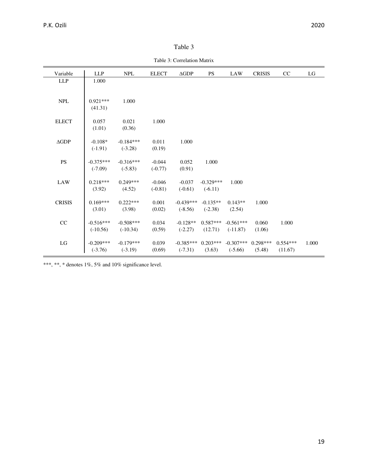| ורוו |
|------|
|------|

Table 3: Correlation Matrix

| Variable                    | <b>LLP</b>  | <b>NPL</b>  | <b>ELECT</b> | $\triangle$ GDP | <b>PS</b>   | LAW         | <b>CRISIS</b> | CC         | LG    |
|-----------------------------|-------------|-------------|--------------|-----------------|-------------|-------------|---------------|------------|-------|
| LLP                         | 1.000       |             |              |                 |             |             |               |            |       |
|                             |             |             |              |                 |             |             |               |            |       |
| $\ensuremath{\mathsf{NPL}}$ | $0.921***$  | 1.000       |              |                 |             |             |               |            |       |
|                             | (41.31)     |             |              |                 |             |             |               |            |       |
| <b>ELECT</b>                | 0.057       | 0.021       | 1.000        |                 |             |             |               |            |       |
|                             | (1.01)      | (0.36)      |              |                 |             |             |               |            |       |
|                             |             |             |              |                 |             |             |               |            |       |
| $\Delta\text{GDP}$          | $-0.108*$   | $-0.184***$ | 0.011        | 1.000           |             |             |               |            |       |
|                             | $(-1.91)$   | $(-3.28)$   | (0.19)       |                 |             |             |               |            |       |
| $\mathbf{P}\mathbf{S}$      | $-0.375***$ | $-0.316***$ | $-0.044$     | 0.052           | 1.000       |             |               |            |       |
|                             | $(-7.09)$   | $(-5.83)$   | $(-0.77)$    | (0.91)          |             |             |               |            |       |
| <b>LAW</b>                  | $0.218***$  | $0.249***$  | $-0.046$     | $-0.037$        | $-0.329***$ | 1.000       |               |            |       |
|                             |             |             |              |                 |             |             |               |            |       |
|                             | (3.92)      | (4.52)      | $(-0.81)$    | $(-0.61)$       | $(-6.11)$   |             |               |            |       |
| <b>CRISIS</b>               | $0.169***$  | $0.222***$  | 0.001        | $-0.439***$     | $-0.135**$  | $0.143**$   | 1.000         |            |       |
|                             | (3.01)      | (3.98)      | (0.02)       | $(-8.56)$       | $(-2.38)$   | (2.54)      |               |            |       |
| $\rm CC$                    | $-0.516***$ | $-0.508***$ | 0.034        | $-0.128**$      | $0.587***$  | $-0.561***$ | 0.060         | 1.000      |       |
|                             | $(-10.56)$  | $(-10.34)$  | (0.59)       | $(-2.27)$       | (12.71)     | $(-11.87)$  | (1.06)        |            |       |
|                             |             |             |              |                 |             |             |               |            |       |
| ${\rm LG}$                  | $-0.209***$ | $-0.179***$ | 0.039        | $-0.385***$     | $0.203***$  | $-0.307***$ | $0.298***$    | $0.554***$ | 1.000 |
|                             | $(-3.76)$   | $(-3.19)$   | (0.69)       | $(-7.31)$       | (3.63)      | $(-5.66)$   | (5.48)        | (11.67)    |       |
|                             |             |             |              |                 |             |             |               |            |       |

\*\*\*, \*\*, \* denotes 1%, 5% and 10% significance level.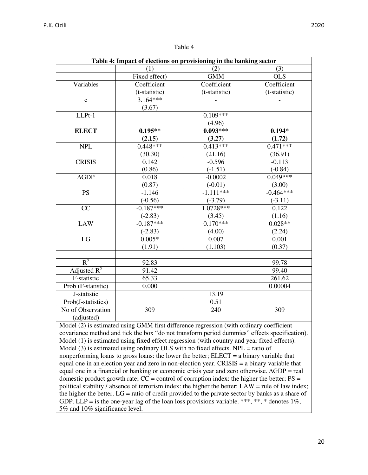| Table 4: Impact of elections on provisioning in the banking sector |               |               |                  |  |  |  |  |  |
|--------------------------------------------------------------------|---------------|---------------|------------------|--|--|--|--|--|
|                                                                    | (1)           | (2)           | (3)              |  |  |  |  |  |
|                                                                    | Fixed effect) | <b>GMM</b>    | $\overline{OLS}$ |  |  |  |  |  |
| Variables                                                          | Coefficient   | Coefficient   | Coefficient      |  |  |  |  |  |
|                                                                    | (t-statistic) | (t-statistic) | (t-statistic)    |  |  |  |  |  |
| $\mathbf{c}$                                                       | $3.164***$    |               |                  |  |  |  |  |  |
|                                                                    | (3.67)        |               |                  |  |  |  |  |  |
| LLPt-1                                                             |               | $0.109***$    |                  |  |  |  |  |  |
|                                                                    |               | (4.96)        |                  |  |  |  |  |  |
| <b>ELECT</b>                                                       | $0.195**$     | $0.093***$    | $0.194*$         |  |  |  |  |  |
|                                                                    | (2.15)        | (3.27)        | (1.72)           |  |  |  |  |  |
| <b>NPL</b>                                                         | $0.448***$    | $0.413***$    | $0.471***$       |  |  |  |  |  |
|                                                                    | (30.30)       | (21.16)       | (36.91)          |  |  |  |  |  |
| <b>CRISIS</b>                                                      | 0.142         | $-0.596$      | $-0.113$         |  |  |  |  |  |
|                                                                    | (0.86)        | $(-1.51)$     | $(-0.84)$        |  |  |  |  |  |
| $\triangle$ GDP                                                    | 0.018         | $-0.0002$     | $0.049***$       |  |  |  |  |  |
|                                                                    | (0.87)        | $(-0.01)$     | (3.00)           |  |  |  |  |  |
| <b>PS</b>                                                          | $-1.146$      | $-1.111***$   | $-0.464***$      |  |  |  |  |  |
|                                                                    | $(-0.56)$     | $(-3.79)$     | $(-3.11)$        |  |  |  |  |  |
| CC                                                                 | $-0.187***$   | 1.0728***     | 0.122            |  |  |  |  |  |
|                                                                    | $(-2.83)$     | (3.45)        | (1.16)           |  |  |  |  |  |
| <b>LAW</b>                                                         | $-0.187***$   | $0.170***$    | $0.028**$        |  |  |  |  |  |
|                                                                    | $(-2.83)$     | (4.00)        | (2.24)           |  |  |  |  |  |
| LG                                                                 | $0.005*$      | 0.007         | 0.001            |  |  |  |  |  |
|                                                                    | (1.91)        | (1.103)       | (0.37)           |  |  |  |  |  |
|                                                                    |               |               |                  |  |  |  |  |  |
| $R^2$                                                              | 92.83         |               | 99.78            |  |  |  |  |  |
| Adjusted $\mathbb{R}^2$                                            | 91.42         |               | 99.40            |  |  |  |  |  |
| F-statistic                                                        | 65.33         |               | 261.62           |  |  |  |  |  |
| Prob (F-statistic)                                                 | 0.000         |               | 0.00004          |  |  |  |  |  |
| J-statistic                                                        |               | 13.19         |                  |  |  |  |  |  |
| Prob(J-statistics)                                                 |               | 0.51          |                  |  |  |  |  |  |
| No of Observation                                                  | 309           | 240           | 309              |  |  |  |  |  |
| (adjusted)                                                         |               |               |                  |  |  |  |  |  |

#### Table 4

Model (2) is estimated using GMM first difference regression (with ordinary coefficient covariance method and tick the box "do not transform period dummies" effects specification). Model (1) is estimated using fixed effect regression (with country and year fixed effects). Model (3) is estimated using ordinary OLS with no fixed effects.  $NPL =$  ratio of nonperforming loans to gross loans: the lower the better; ELECT = a binary variable that equal one in an election year and zero in non-election year. CRISIS = a binary variable that equal one in a financial or banking or economic crisis year and zero otherwise. ∆GDP = real domestic product growth rate;  $CC =$  control of corruption index: the higher the better;  $PS =$ political stability / absence of terrorism index: the higher the better; LAW = rule of law index; the higher the better. LG = ratio of credit provided to the private sector by banks as a share of GDP. LLP = is the one-year lag of the loan loss provisions variable. \*\*\*, \*\*, \* denotes  $1\%$ , 5% and 10% significance level.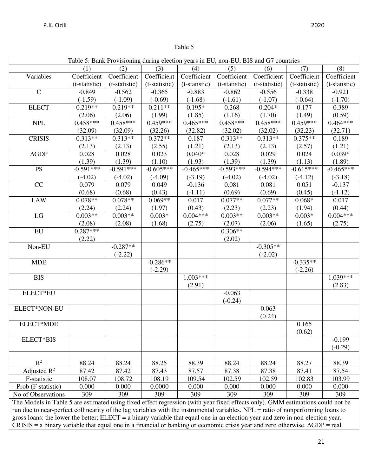| Table 5: Bank Provisioning during election years in EU, non-EU, BIS and G7 countries<br>(7)<br>(8)<br>(1)<br>(2)<br>(3)<br>(4)<br>(5)<br>(6)<br>Variables<br>Coefficient<br>Coefficient<br>Coefficient<br>Coefficient<br>Coefficient<br>Coefficient<br>Coefficient<br>Coefficient<br>(t-statistic)<br>(t-statistic)<br>(t-statistic)<br>(t-statistic)<br>(t-statistic)<br>(t-statistic)<br>(t-statistic)<br>(t-statistic)<br>${\bf C}$<br>$-0.849$<br>$-0.562$<br>$-0.365$<br>$-0.883$<br>$-0.862$<br>$-0.556$<br>$-0.338$<br>$-0.921$<br>$(-1.09)$<br>$(-0.69)$<br>$(-1.70)$<br>$(-1.59)$<br>$(-1.68)$<br>$(-1.61)$<br>$(-1.07)$<br>$(-0.64)$<br>$0.219**$<br>$0.219**$<br>$0.211**$<br>$0.195*$<br>$0.204*$<br>0.177<br>0.389<br><b>ELECT</b><br>0.268<br>(0.59)<br>(2.06)<br>(2.06)<br>(1.99)<br>(1.85)<br>(1.16)<br>(1.70)<br>(1.49)<br>$0.464***$<br>$0.458***$<br>$0.458***$<br>$0.459***$<br>$0.465***$<br>$0.458***$<br>$0.458***$<br>$0.459***$<br><b>NPL</b><br>(32.09)<br>(32.09)<br>(32.26)<br>(32.82)<br>(32.02)<br>(32.02)<br>(32.23)<br>(32.71)<br><b>CRISIS</b><br>$0.313**$<br>$0.313**$<br>$0.372**$<br>$0.313**$<br>0.187<br>$0.313**$<br>$0.375**$<br>0.189<br>(2.13)<br>(2.13)<br>(2.55)<br>(1.21)<br>(2.13)<br>(2.13)<br>(2.57)<br>(1.21)<br>$0.039*$<br>$0.040*$<br>0.028<br>0.029<br>0.024<br>$\Delta\text{GDP}$<br>0.028<br>0.028<br>0.023<br>(1.39)<br>(1.89)<br>(1.39)<br>(1.39)<br>(1.10)<br>(1.93)<br>(1.39)<br>(1.13)<br>$-0.591***$<br>$-0.593***$<br>$-0.465***$<br>PS<br>$-0.591***$<br>$-0.605***$<br>$-0.465***$<br>$-0.594***$<br>$-0.615***$<br>$(-4.02)$<br>$(-4.02)$<br>$(-3.18)$<br>$(-4.09)$<br>$(-3.19)$<br>$(-4.02)$<br>$(-4.02)$<br>$(-4.12)$<br>CC<br>0.079<br>0.079<br>0.049<br>$-0.136$<br>0.081<br>0.081<br>0.051<br>$-0.137$<br>(0.68)<br>(0.43)<br>(0.69)<br>(0.68)<br>$(-1.11)$<br>(0.69)<br>(0.45)<br>$(-1.12)$<br>$0.078**$<br>$0.078**$<br>$0.069**$<br>$0.077**$<br><b>LAW</b><br>0.017<br>$0.077**$<br>$0.068*$<br>0.017<br>(2.24)<br>(0.43)<br>(0.44)<br>(2.24)<br>(1.97)<br>(2.23)<br>(2.23)<br>(1.94)<br>$0.004***$<br>LG<br>$0.003**$<br>$0.003**$<br>$0.004***$<br>$0.003**$<br>$0.003**$<br>$0.003*$<br>$0.003*$<br>(2.08)<br>(2.08)<br>(2.75)<br>(1.68)<br>(2.75)<br>(2.07)<br>(2.06)<br>(1.65)<br>$0.287***$<br>$0.306**$<br>${\rm EU}$<br>(2.22)<br>(2.02)<br>$-0.287**$<br>$-0.305**$<br>Non-EU<br>$(-2.22)$<br>$(-2.02)$<br>$-0.286**$<br>$-0.335**$<br><b>MDE</b><br>$(-2.29)$<br>$(-2.26)$<br>$1.039***$<br>$1.003***$<br><b>BIS</b> |
|-----------------------------------------------------------------------------------------------------------------------------------------------------------------------------------------------------------------------------------------------------------------------------------------------------------------------------------------------------------------------------------------------------------------------------------------------------------------------------------------------------------------------------------------------------------------------------------------------------------------------------------------------------------------------------------------------------------------------------------------------------------------------------------------------------------------------------------------------------------------------------------------------------------------------------------------------------------------------------------------------------------------------------------------------------------------------------------------------------------------------------------------------------------------------------------------------------------------------------------------------------------------------------------------------------------------------------------------------------------------------------------------------------------------------------------------------------------------------------------------------------------------------------------------------------------------------------------------------------------------------------------------------------------------------------------------------------------------------------------------------------------------------------------------------------------------------------------------------------------------------------------------------------------------------------------------------------------------------------------------------------------------------------------------------------------------------------------------------------------------------------------------------------------------------------------------------------------------------------------------------------------------------------------------------------------------------------------------------------------------------------------------------------------------------------------------------------------------------------------------------------------|
|                                                                                                                                                                                                                                                                                                                                                                                                                                                                                                                                                                                                                                                                                                                                                                                                                                                                                                                                                                                                                                                                                                                                                                                                                                                                                                                                                                                                                                                                                                                                                                                                                                                                                                                                                                                                                                                                                                                                                                                                                                                                                                                                                                                                                                                                                                                                                                                                                                                                                                           |
|                                                                                                                                                                                                                                                                                                                                                                                                                                                                                                                                                                                                                                                                                                                                                                                                                                                                                                                                                                                                                                                                                                                                                                                                                                                                                                                                                                                                                                                                                                                                                                                                                                                                                                                                                                                                                                                                                                                                                                                                                                                                                                                                                                                                                                                                                                                                                                                                                                                                                                           |
|                                                                                                                                                                                                                                                                                                                                                                                                                                                                                                                                                                                                                                                                                                                                                                                                                                                                                                                                                                                                                                                                                                                                                                                                                                                                                                                                                                                                                                                                                                                                                                                                                                                                                                                                                                                                                                                                                                                                                                                                                                                                                                                                                                                                                                                                                                                                                                                                                                                                                                           |
|                                                                                                                                                                                                                                                                                                                                                                                                                                                                                                                                                                                                                                                                                                                                                                                                                                                                                                                                                                                                                                                                                                                                                                                                                                                                                                                                                                                                                                                                                                                                                                                                                                                                                                                                                                                                                                                                                                                                                                                                                                                                                                                                                                                                                                                                                                                                                                                                                                                                                                           |
|                                                                                                                                                                                                                                                                                                                                                                                                                                                                                                                                                                                                                                                                                                                                                                                                                                                                                                                                                                                                                                                                                                                                                                                                                                                                                                                                                                                                                                                                                                                                                                                                                                                                                                                                                                                                                                                                                                                                                                                                                                                                                                                                                                                                                                                                                                                                                                                                                                                                                                           |
|                                                                                                                                                                                                                                                                                                                                                                                                                                                                                                                                                                                                                                                                                                                                                                                                                                                                                                                                                                                                                                                                                                                                                                                                                                                                                                                                                                                                                                                                                                                                                                                                                                                                                                                                                                                                                                                                                                                                                                                                                                                                                                                                                                                                                                                                                                                                                                                                                                                                                                           |
|                                                                                                                                                                                                                                                                                                                                                                                                                                                                                                                                                                                                                                                                                                                                                                                                                                                                                                                                                                                                                                                                                                                                                                                                                                                                                                                                                                                                                                                                                                                                                                                                                                                                                                                                                                                                                                                                                                                                                                                                                                                                                                                                                                                                                                                                                                                                                                                                                                                                                                           |
|                                                                                                                                                                                                                                                                                                                                                                                                                                                                                                                                                                                                                                                                                                                                                                                                                                                                                                                                                                                                                                                                                                                                                                                                                                                                                                                                                                                                                                                                                                                                                                                                                                                                                                                                                                                                                                                                                                                                                                                                                                                                                                                                                                                                                                                                                                                                                                                                                                                                                                           |
|                                                                                                                                                                                                                                                                                                                                                                                                                                                                                                                                                                                                                                                                                                                                                                                                                                                                                                                                                                                                                                                                                                                                                                                                                                                                                                                                                                                                                                                                                                                                                                                                                                                                                                                                                                                                                                                                                                                                                                                                                                                                                                                                                                                                                                                                                                                                                                                                                                                                                                           |
|                                                                                                                                                                                                                                                                                                                                                                                                                                                                                                                                                                                                                                                                                                                                                                                                                                                                                                                                                                                                                                                                                                                                                                                                                                                                                                                                                                                                                                                                                                                                                                                                                                                                                                                                                                                                                                                                                                                                                                                                                                                                                                                                                                                                                                                                                                                                                                                                                                                                                                           |
|                                                                                                                                                                                                                                                                                                                                                                                                                                                                                                                                                                                                                                                                                                                                                                                                                                                                                                                                                                                                                                                                                                                                                                                                                                                                                                                                                                                                                                                                                                                                                                                                                                                                                                                                                                                                                                                                                                                                                                                                                                                                                                                                                                                                                                                                                                                                                                                                                                                                                                           |
|                                                                                                                                                                                                                                                                                                                                                                                                                                                                                                                                                                                                                                                                                                                                                                                                                                                                                                                                                                                                                                                                                                                                                                                                                                                                                                                                                                                                                                                                                                                                                                                                                                                                                                                                                                                                                                                                                                                                                                                                                                                                                                                                                                                                                                                                                                                                                                                                                                                                                                           |
|                                                                                                                                                                                                                                                                                                                                                                                                                                                                                                                                                                                                                                                                                                                                                                                                                                                                                                                                                                                                                                                                                                                                                                                                                                                                                                                                                                                                                                                                                                                                                                                                                                                                                                                                                                                                                                                                                                                                                                                                                                                                                                                                                                                                                                                                                                                                                                                                                                                                                                           |
|                                                                                                                                                                                                                                                                                                                                                                                                                                                                                                                                                                                                                                                                                                                                                                                                                                                                                                                                                                                                                                                                                                                                                                                                                                                                                                                                                                                                                                                                                                                                                                                                                                                                                                                                                                                                                                                                                                                                                                                                                                                                                                                                                                                                                                                                                                                                                                                                                                                                                                           |
|                                                                                                                                                                                                                                                                                                                                                                                                                                                                                                                                                                                                                                                                                                                                                                                                                                                                                                                                                                                                                                                                                                                                                                                                                                                                                                                                                                                                                                                                                                                                                                                                                                                                                                                                                                                                                                                                                                                                                                                                                                                                                                                                                                                                                                                                                                                                                                                                                                                                                                           |
|                                                                                                                                                                                                                                                                                                                                                                                                                                                                                                                                                                                                                                                                                                                                                                                                                                                                                                                                                                                                                                                                                                                                                                                                                                                                                                                                                                                                                                                                                                                                                                                                                                                                                                                                                                                                                                                                                                                                                                                                                                                                                                                                                                                                                                                                                                                                                                                                                                                                                                           |
|                                                                                                                                                                                                                                                                                                                                                                                                                                                                                                                                                                                                                                                                                                                                                                                                                                                                                                                                                                                                                                                                                                                                                                                                                                                                                                                                                                                                                                                                                                                                                                                                                                                                                                                                                                                                                                                                                                                                                                                                                                                                                                                                                                                                                                                                                                                                                                                                                                                                                                           |
|                                                                                                                                                                                                                                                                                                                                                                                                                                                                                                                                                                                                                                                                                                                                                                                                                                                                                                                                                                                                                                                                                                                                                                                                                                                                                                                                                                                                                                                                                                                                                                                                                                                                                                                                                                                                                                                                                                                                                                                                                                                                                                                                                                                                                                                                                                                                                                                                                                                                                                           |
|                                                                                                                                                                                                                                                                                                                                                                                                                                                                                                                                                                                                                                                                                                                                                                                                                                                                                                                                                                                                                                                                                                                                                                                                                                                                                                                                                                                                                                                                                                                                                                                                                                                                                                                                                                                                                                                                                                                                                                                                                                                                                                                                                                                                                                                                                                                                                                                                                                                                                                           |
|                                                                                                                                                                                                                                                                                                                                                                                                                                                                                                                                                                                                                                                                                                                                                                                                                                                                                                                                                                                                                                                                                                                                                                                                                                                                                                                                                                                                                                                                                                                                                                                                                                                                                                                                                                                                                                                                                                                                                                                                                                                                                                                                                                                                                                                                                                                                                                                                                                                                                                           |
|                                                                                                                                                                                                                                                                                                                                                                                                                                                                                                                                                                                                                                                                                                                                                                                                                                                                                                                                                                                                                                                                                                                                                                                                                                                                                                                                                                                                                                                                                                                                                                                                                                                                                                                                                                                                                                                                                                                                                                                                                                                                                                                                                                                                                                                                                                                                                                                                                                                                                                           |
|                                                                                                                                                                                                                                                                                                                                                                                                                                                                                                                                                                                                                                                                                                                                                                                                                                                                                                                                                                                                                                                                                                                                                                                                                                                                                                                                                                                                                                                                                                                                                                                                                                                                                                                                                                                                                                                                                                                                                                                                                                                                                                                                                                                                                                                                                                                                                                                                                                                                                                           |
|                                                                                                                                                                                                                                                                                                                                                                                                                                                                                                                                                                                                                                                                                                                                                                                                                                                                                                                                                                                                                                                                                                                                                                                                                                                                                                                                                                                                                                                                                                                                                                                                                                                                                                                                                                                                                                                                                                                                                                                                                                                                                                                                                                                                                                                                                                                                                                                                                                                                                                           |
|                                                                                                                                                                                                                                                                                                                                                                                                                                                                                                                                                                                                                                                                                                                                                                                                                                                                                                                                                                                                                                                                                                                                                                                                                                                                                                                                                                                                                                                                                                                                                                                                                                                                                                                                                                                                                                                                                                                                                                                                                                                                                                                                                                                                                                                                                                                                                                                                                                                                                                           |
|                                                                                                                                                                                                                                                                                                                                                                                                                                                                                                                                                                                                                                                                                                                                                                                                                                                                                                                                                                                                                                                                                                                                                                                                                                                                                                                                                                                                                                                                                                                                                                                                                                                                                                                                                                                                                                                                                                                                                                                                                                                                                                                                                                                                                                                                                                                                                                                                                                                                                                           |
|                                                                                                                                                                                                                                                                                                                                                                                                                                                                                                                                                                                                                                                                                                                                                                                                                                                                                                                                                                                                                                                                                                                                                                                                                                                                                                                                                                                                                                                                                                                                                                                                                                                                                                                                                                                                                                                                                                                                                                                                                                                                                                                                                                                                                                                                                                                                                                                                                                                                                                           |
|                                                                                                                                                                                                                                                                                                                                                                                                                                                                                                                                                                                                                                                                                                                                                                                                                                                                                                                                                                                                                                                                                                                                                                                                                                                                                                                                                                                                                                                                                                                                                                                                                                                                                                                                                                                                                                                                                                                                                                                                                                                                                                                                                                                                                                                                                                                                                                                                                                                                                                           |
|                                                                                                                                                                                                                                                                                                                                                                                                                                                                                                                                                                                                                                                                                                                                                                                                                                                                                                                                                                                                                                                                                                                                                                                                                                                                                                                                                                                                                                                                                                                                                                                                                                                                                                                                                                                                                                                                                                                                                                                                                                                                                                                                                                                                                                                                                                                                                                                                                                                                                                           |
| (2.83)<br>(2.91)                                                                                                                                                                                                                                                                                                                                                                                                                                                                                                                                                                                                                                                                                                                                                                                                                                                                                                                                                                                                                                                                                                                                                                                                                                                                                                                                                                                                                                                                                                                                                                                                                                                                                                                                                                                                                                                                                                                                                                                                                                                                                                                                                                                                                                                                                                                                                                                                                                                                                          |
| ELECT*EU<br>$-0.063$                                                                                                                                                                                                                                                                                                                                                                                                                                                                                                                                                                                                                                                                                                                                                                                                                                                                                                                                                                                                                                                                                                                                                                                                                                                                                                                                                                                                                                                                                                                                                                                                                                                                                                                                                                                                                                                                                                                                                                                                                                                                                                                                                                                                                                                                                                                                                                                                                                                                                      |
| $(-0.24)$                                                                                                                                                                                                                                                                                                                                                                                                                                                                                                                                                                                                                                                                                                                                                                                                                                                                                                                                                                                                                                                                                                                                                                                                                                                                                                                                                                                                                                                                                                                                                                                                                                                                                                                                                                                                                                                                                                                                                                                                                                                                                                                                                                                                                                                                                                                                                                                                                                                                                                 |
| ELECT*NON-EU<br>0.063                                                                                                                                                                                                                                                                                                                                                                                                                                                                                                                                                                                                                                                                                                                                                                                                                                                                                                                                                                                                                                                                                                                                                                                                                                                                                                                                                                                                                                                                                                                                                                                                                                                                                                                                                                                                                                                                                                                                                                                                                                                                                                                                                                                                                                                                                                                                                                                                                                                                                     |
| (0.24)                                                                                                                                                                                                                                                                                                                                                                                                                                                                                                                                                                                                                                                                                                                                                                                                                                                                                                                                                                                                                                                                                                                                                                                                                                                                                                                                                                                                                                                                                                                                                                                                                                                                                                                                                                                                                                                                                                                                                                                                                                                                                                                                                                                                                                                                                                                                                                                                                                                                                                    |
| ELECT*MDE<br>0.165                                                                                                                                                                                                                                                                                                                                                                                                                                                                                                                                                                                                                                                                                                                                                                                                                                                                                                                                                                                                                                                                                                                                                                                                                                                                                                                                                                                                                                                                                                                                                                                                                                                                                                                                                                                                                                                                                                                                                                                                                                                                                                                                                                                                                                                                                                                                                                                                                                                                                        |
| (0.62)                                                                                                                                                                                                                                                                                                                                                                                                                                                                                                                                                                                                                                                                                                                                                                                                                                                                                                                                                                                                                                                                                                                                                                                                                                                                                                                                                                                                                                                                                                                                                                                                                                                                                                                                                                                                                                                                                                                                                                                                                                                                                                                                                                                                                                                                                                                                                                                                                                                                                                    |
| ELECT*BIS<br>$-0.199$                                                                                                                                                                                                                                                                                                                                                                                                                                                                                                                                                                                                                                                                                                                                                                                                                                                                                                                                                                                                                                                                                                                                                                                                                                                                                                                                                                                                                                                                                                                                                                                                                                                                                                                                                                                                                                                                                                                                                                                                                                                                                                                                                                                                                                                                                                                                                                                                                                                                                     |
| $(-0.29)$                                                                                                                                                                                                                                                                                                                                                                                                                                                                                                                                                                                                                                                                                                                                                                                                                                                                                                                                                                                                                                                                                                                                                                                                                                                                                                                                                                                                                                                                                                                                                                                                                                                                                                                                                                                                                                                                                                                                                                                                                                                                                                                                                                                                                                                                                                                                                                                                                                                                                                 |
|                                                                                                                                                                                                                                                                                                                                                                                                                                                                                                                                                                                                                                                                                                                                                                                                                                                                                                                                                                                                                                                                                                                                                                                                                                                                                                                                                                                                                                                                                                                                                                                                                                                                                                                                                                                                                                                                                                                                                                                                                                                                                                                                                                                                                                                                                                                                                                                                                                                                                                           |
| $\mathbb{R}^2$<br>88.24<br>88.24<br>88.25<br>88.39<br>88.24<br>88.24<br>88.27<br>88.39                                                                                                                                                                                                                                                                                                                                                                                                                                                                                                                                                                                                                                                                                                                                                                                                                                                                                                                                                                                                                                                                                                                                                                                                                                                                                                                                                                                                                                                                                                                                                                                                                                                                                                                                                                                                                                                                                                                                                                                                                                                                                                                                                                                                                                                                                                                                                                                                                    |
| Adjusted $R^2$<br>87.42<br>87.42<br>87.43<br>87.57<br>87.38<br>87.38<br>87.41<br>87.54                                                                                                                                                                                                                                                                                                                                                                                                                                                                                                                                                                                                                                                                                                                                                                                                                                                                                                                                                                                                                                                                                                                                                                                                                                                                                                                                                                                                                                                                                                                                                                                                                                                                                                                                                                                                                                                                                                                                                                                                                                                                                                                                                                                                                                                                                                                                                                                                                    |
| 108.19<br>F-statistic<br>108.07<br>108.72<br>109.54<br>102.59<br>102.59<br>102.83<br>103.99                                                                                                                                                                                                                                                                                                                                                                                                                                                                                                                                                                                                                                                                                                                                                                                                                                                                                                                                                                                                                                                                                                                                                                                                                                                                                                                                                                                                                                                                                                                                                                                                                                                                                                                                                                                                                                                                                                                                                                                                                                                                                                                                                                                                                                                                                                                                                                                                               |
| 0.000<br>0.000<br>0.0000<br>0.000<br>0.000<br>Prob (F-statistic)<br>0.000<br>0.000<br>0.000                                                                                                                                                                                                                                                                                                                                                                                                                                                                                                                                                                                                                                                                                                                                                                                                                                                                                                                                                                                                                                                                                                                                                                                                                                                                                                                                                                                                                                                                                                                                                                                                                                                                                                                                                                                                                                                                                                                                                                                                                                                                                                                                                                                                                                                                                                                                                                                                               |
| 309<br>No of Observations<br>309<br>309<br>309<br>309<br>309<br>309<br>309                                                                                                                                                                                                                                                                                                                                                                                                                                                                                                                                                                                                                                                                                                                                                                                                                                                                                                                                                                                                                                                                                                                                                                                                                                                                                                                                                                                                                                                                                                                                                                                                                                                                                                                                                                                                                                                                                                                                                                                                                                                                                                                                                                                                                                                                                                                                                                                                                                |
| The Models in Table 5 are estimated using fixed effect regression (with year fixed effects only). GMM estimations could not be<br>that calling ority of the lag variables with the instrumental variables. NDL = notic of nonneuforming loops to                                                                                                                                                                                                                                                                                                                                                                                                                                                                                                                                                                                                                                                                                                                                                                                                                                                                                                                                                                                                                                                                                                                                                                                                                                                                                                                                                                                                                                                                                                                                                                                                                                                                                                                                                                                                                                                                                                                                                                                                                                                                                                                                                                                                                                                          |

run due to near-perfect collinearity of the lag variables with the instrumental variables. NPL = ratio of nonperforming loans to gross loans: the lower the better; ELECT = a binary variable that equal one in an election year and zero in non-election year. CRISIS = a binary variable that equal one in a financial or banking or economic crisis year and zero otherwise. ∆GDP = real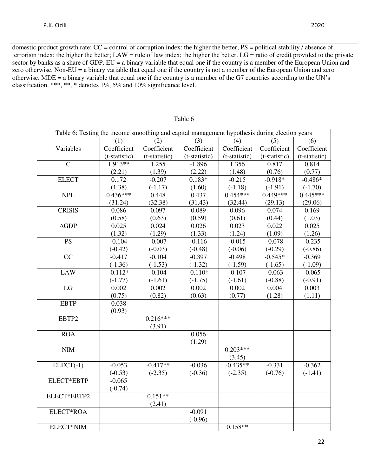domestic product growth rate;  $CC =$  control of corruption index: the higher the better;  $PS =$  political stability / absence of terrorism index: the higher the better; LAW = rule of law index; the higher the better. LG = ratio of credit provided to the private sector by banks as a share of GDP. EU = a binary variable that equal one if the country is a member of the European Union and zero otherwise. Non-EU = a binary variable that equal one if the country is not a member of the European Union and zero otherwise. MDE = a binary variable that equal one if the country is a member of the G7 countries according to the UN's classification. \*\*\*, \*\*, \* denotes 1%, 5% and 10% significance level.

| Table 6: Testing the income smoothing and capital management hypothesis during election years |               |               |               |               |               |               |  |  |
|-----------------------------------------------------------------------------------------------|---------------|---------------|---------------|---------------|---------------|---------------|--|--|
|                                                                                               | (1)           | (2)           | (3)           | (4)           | (5)           | (6)           |  |  |
| Variables                                                                                     | Coefficient   | Coefficient   | Coefficient   | Coefficient   | Coefficient   | Coefficient   |  |  |
|                                                                                               | (t-statistic) | (t-statistic) | (t-statistic) | (t-statistic) | (t-statistic) | (t-statistic) |  |  |
| $\overline{C}$                                                                                | 1.913**       | 1.255         | $-1.896$      | 1.356         | 0.817         | 0.814         |  |  |
|                                                                                               | (2.21)        | (1.39)        | (2.22)        | (1.48)        | (0.76)        | (0.77)        |  |  |
| <b>ELECT</b>                                                                                  | 0.172         | $-0.207$      | $0.183*$      | $-0.215$      | $-0.918*$     | $-0.486*$     |  |  |
|                                                                                               | (1.38)        | $(-1.17)$     | (1.60)        | $(-1.18)$     | $(-1.91)$     | $(-1.70)$     |  |  |
| <b>NPL</b>                                                                                    | $0.436***$    | 0.448         | 0.437         | $0.454***$    | 0.449***      | $0.445***$    |  |  |
|                                                                                               | (31.24)       | (32.38)       | (31.43)       | (32.44)       | (29.13)       | (29.06)       |  |  |
| <b>CRISIS</b>                                                                                 | 0.086         | 0.097         | 0.089         | 0.096         | 0.074         | 0.169         |  |  |
|                                                                                               | (0.58)        | (0.63)        | (0.59)        | (0.61)        | (0.44)        | (1.03)        |  |  |
| $\overline{\triangle$ GDP                                                                     | 0.025         | 0.024         | 0.026         | 0.023         | 0.022         | 0.025         |  |  |
|                                                                                               | (1.32)        | (1.29)        | (1.33)        | (1.24)        | (1.09)        | (1.26)        |  |  |
| <b>PS</b>                                                                                     | $-0.104$      | $-0.007$      | $-0.116$      | $-0.015$      | $-0.078$      | $-0.235$      |  |  |
|                                                                                               | $(-0.42)$     | $(-0.03)$     | $(-0.48)$     | $(-0.06)$     | $(-0.29)$     | $(-0.86)$     |  |  |
| $\overline{CC}$                                                                               | $-0.417$      | $-0.104$      | $-0.397$      | $-0.498$      | $-0.545*$     | $-0.369$      |  |  |
|                                                                                               | $(-1.36)$     | $(-1.53)$     | $(-1.32)$     | $(-1.59)$     | $(-1.65)$     | $(-1.09)$     |  |  |
| LAW                                                                                           | $-0.112*$     | $-0.104$      | $-0.110*$     | $-0.107$      | $-0.063$      | $-0.065$      |  |  |
|                                                                                               | $(-1.77)$     | $(-1.61)$     | $(-1.75)$     | $(-1.61)$     | $(-0.88)$     | $(-0.91)$     |  |  |
| LG                                                                                            | 0.002         | 0.002         | 0.002         | 0.002         | 0.004         | 0.003         |  |  |
|                                                                                               | (0.75)        | (0.82)        | (0.63)        | (0.77)        | (1.28)        | (1.11)        |  |  |
| <b>EBTP</b>                                                                                   | 0.038         |               |               |               |               |               |  |  |
|                                                                                               | (0.93)        |               |               |               |               |               |  |  |
| EBTP2                                                                                         |               | $0.216***$    |               |               |               |               |  |  |
|                                                                                               |               | (3.91)        |               |               |               |               |  |  |
| <b>ROA</b>                                                                                    |               |               | 0.056         |               |               |               |  |  |
|                                                                                               |               |               | (1.29)        |               |               |               |  |  |
| NIM                                                                                           |               |               |               | $0.203***$    |               |               |  |  |
|                                                                                               |               |               |               | (3.45)        |               |               |  |  |
| $ELECT(-1)$                                                                                   | $-0.053$      | $-0.417**$    | $-0.036$      | $-0.435**$    | $-0.331$      | $-0.362$      |  |  |
|                                                                                               | $(-0.53)$     | $(-2.35)$     | $(-0.36)$     | $(-2.35)$     | $(-0.76)$     | $(-1.41)$     |  |  |
| ELECT*EBTP                                                                                    | $-0.065$      |               |               |               |               |               |  |  |
|                                                                                               | $(-0.74)$     |               |               |               |               |               |  |  |
| ELECT*EBTP2                                                                                   |               | $0.151**$     |               |               |               |               |  |  |
|                                                                                               |               | (2.41)        |               |               |               |               |  |  |
| ELECT*ROA                                                                                     |               |               | $-0.091$      |               |               |               |  |  |
|                                                                                               |               |               | $(-0.96)$     |               |               |               |  |  |
| ELECT*NIM                                                                                     |               |               |               | $0.158**$     |               |               |  |  |

### Table 6